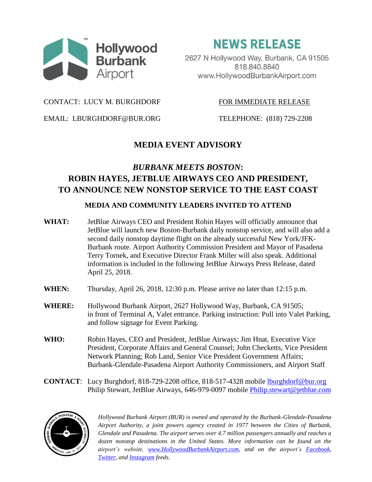

**NEWS RELEASE** 

2627 N Hollywood Way, Burbank, CA 91505 818.840.8840 www.HollywoodBurbankAirport.com

CONTACT: LUCY M. BURGHDORF FOR IMMEDIATE RELEASE

EMAIL: LBURGHDORF@BUR.ORG TELEPHONE: (818) 729-2208

# **MEDIA EVENT ADVISORY**

# *BURBANK MEETS BOSTON***: ROBIN HAYES, JETBLUE AIRWAYS CEO AND PRESIDENT, TO ANNOUNCE NEW NONSTOP SERVICE TO THE EAST COAST**

### **MEDIA AND COMMUNITY LEADERS INVITED TO ATTEND**

- **WHAT:** JetBlue Airways CEO and President Robin Hayes will officially announce that JetBlue will launch new Boston-Burbank daily nonstop service, and will also add a second daily nonstop daytime flight on the already successful New York/JFK-Burbank route. Airport Authority Commission President and Mayor of Pasadena Terry Tornek, and Executive Director Frank Miller will also speak. Additional information is included in the following JetBlue Airways Press Release, dated April 25, 2018.
- **WHEN:** Thursday, April 26, 2018, 12:30 p.m. Please arrive no later than 12:15 p.m.
- **WHERE:** Hollywood Burbank Airport, 2627 Hollywood Way, Burbank, CA 91505; in front of Terminal A, Valet entrance. Parking instruction: Pull into Valet Parking, and follow signage for Event Parking*.*
- **WHO:** Robin Hayes, CEO and President, JetBlue Airways; Jim Hnat, Executive Vice President, Corporate Affairs and General Counsel; John Checketts, Vice President Network Planning; Rob Land, Senior Vice President Government Affairs; Burbank-Glendale-Pasadena Airport Authority Commissioners, and Airport Staff
- **CONTACT**: Lucy Burghdorf, 818-729-2208 office, 818-517-4328 mobile [lburghdorf@bur.org](mailto:lburghdorf@bur.org) Philip Stewart, JetBlue Airways, 646-979-0097 mobile [Philip.stewart@jetblue.com](mailto:Philip.stewart@jetblue.com)



*Hollywood Burbank Airport (BUR) is owned and operated by the Burbank-Glendale-Pasadena Airport Authority, a joint powers agency created in 1977 between the Cities of Burbank, Glendale and Pasadena. The airport serves over 4.7 million passengers annually and reaches a dozen nonstop destinations in the United States. More information can be found on the airport's website, [www.HollywoodBurbankAirport.com,](http://www.hollywoodburbankairport.com/) and on the airport's [Facebook,](https://www.facebook.com/hollywoodburbankairport/) [Twitter,](https://twitter.com/fly_BUR) and [Instagram](https://www.instagram.com/fly_bur/) feeds.*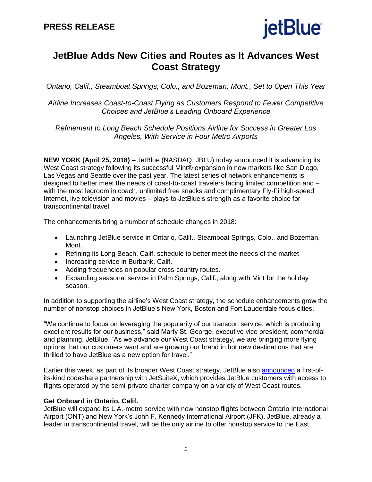

# **JetBlue Adds New Cities and Routes as It Advances West Coast Strategy**

*Ontario, Calif., Steamboat Springs, Colo., and Bozeman, Mont., Set to Open This Year*

*Airline Increases Coast-to-Coast Flying as Customers Respond to Fewer Competitive Choices and JetBlue's Leading Onboard Experience*

*Refinement to Long Beach Schedule Positions Airline for Success in Greater Los Angeles, With Service in Four Metro Airports*

**NEW YORK (April 25, 2018)** – JetBlue (NASDAQ: JBLU) today announced it is advancing its West Coast strategy following its successful Mint® expansion in new markets like San Diego, Las Vegas and Seattle over the past year. The latest series of network enhancements is designed to better meet the needs of coast-to-coast travelers facing limited competition and – with the most legroom in coach, unlimited free snacks and complimentary Fly-Fi high-speed Internet, live television and movies – plays to JetBlue's strength as a favorite choice for transcontinental travel.

The enhancements bring a number of schedule changes in 2018:

- Launching JetBlue service in Ontario, Calif., Steamboat Springs, Colo., and Bozeman, Mont.
- Refining its Long Beach, Calif. schedule to better meet the needs of the market
- Increasing service in Burbank, Calif.
- Adding frequencies on popular cross-country routes.
- Expanding seasonal service in Palm Springs, Calif., along with Mint for the holiday season.

In addition to supporting the airline's West Coast strategy, the schedule enhancements grow the number of nonstop choices in JetBlue's New York, Boston and Fort Lauderdale focus cities.

"We continue to focus on leveraging the popularity of our transcon service, which is producing excellent results for our business," said Marty St. George, executive vice president, commercial and planning, JetBlue. "As we advance our West Coast strategy, we are bringing more flying options that our customers want and are growing our brand in hot new destinations that are thrilled to have JetBlue as a new option for travel."

Earlier this week, as part of its broader West Coast strategy, JetBlue also [announced](http://www.mediaroom.jetblue.com/investor-relations/press-releases/2018/04-23-2018-172943269) a first-ofits-kind codeshare partnership with JetSuiteX, which provides JetBlue customers with access to flights operated by the semi-private charter company on a variety of West Coast routes.

#### **Get Onboard in Ontario, Calif.**

JetBlue will expand its L.A.-metro service with new nonstop flights between Ontario International Airport (ONT) and New York's John F. Kennedy International Airport (JFK). JetBlue, already a leader in transcontinental travel, will be the only airline to offer nonstop service to the East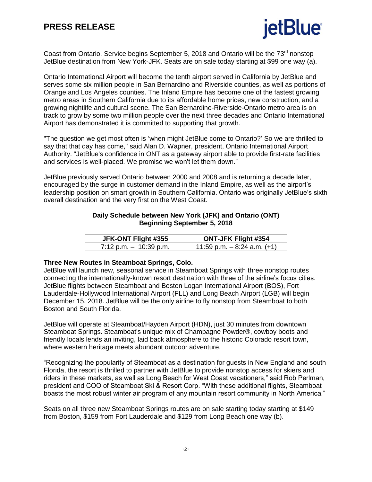# **jetBlue**

Coast from Ontario. Service begins September 5, 2018 and Ontario will be the 73<sup>rd</sup> nonstop JetBlue destination from New York-JFK. Seats are on sale today starting at \$99 one way (a).

Ontario International Airport will become the tenth airport served in California by JetBlue and serves some six million people in San Bernardino and Riverside counties, as well as portions of Orange and Los Angeles counties. The Inland Empire has become one of the fastest growing metro areas in Southern California due to its affordable home prices, new construction, and a growing nightlife and cultural scene. The San Bernardino-Riverside-Ontario metro area is on track to grow by some two million people over the next three decades and Ontario International Airport has demonstrated it is committed to supporting that growth.

"The question we get most often is 'when might JetBlue come to Ontario?' So we are thrilled to say that that day has come," said Alan D. Wapner, president, Ontario International Airport Authority. "JetBlue's confidence in ONT as a gateway airport able to provide first-rate facilities and services is well-placed. We promise we won't let them down."

JetBlue previously served Ontario between 2000 and 2008 and is returning a decade later, encouraged by the surge in customer demand in the Inland Empire, as well as the airport's leadership position on smart growth in Southern California. Ontario was originally JetBlue's sixth overall destination and the very first on the West Coast.

#### **Daily Schedule between New York (JFK) and Ontario (ONT) Beginning September 5, 2018**

| JFK-ONT Flight #355       | <b>ONT-JFK Flight #354</b>     |
|---------------------------|--------------------------------|
| $7:12$ p.m. $-10:39$ p.m. | 11:59 p.m. $-8:24$ a.m. $(+1)$ |

#### **Three New Routes in Steamboat Springs, Colo.**

JetBlue will launch new, seasonal service in Steamboat Springs with three nonstop routes connecting the internationally-known resort destination with three of the airline's focus cities. JetBlue flights between Steamboat and Boston Logan International Airport (BOS), Fort Lauderdale-Hollywood International Airport (FLL) and Long Beach Airport (LGB) will begin December 15, 2018. JetBlue will be the only airline to fly nonstop from Steamboat to both Boston and South Florida.

JetBlue will operate at Steamboat/Hayden Airport (HDN), just 30 minutes from downtown Steamboat Springs. Steamboat's unique mix of Champagne Powder®, cowboy boots and friendly locals lends an inviting, laid back atmosphere to the historic Colorado resort town, where western heritage meets abundant outdoor adventure.

"Recognizing the popularity of Steamboat as a destination for guests in New England and south Florida, the resort is thrilled to partner with JetBlue to provide nonstop access for skiers and riders in these markets, as well as Long Beach for West Coast vacationers," said Rob Perlman, president and COO of Steamboat Ski & Resort Corp. "With these additional flights, Steamboat boasts the most robust winter air program of any mountain resort community in North America."

Seats on all three new Steamboat Springs routes are on sale starting today starting at \$149 from Boston, \$159 from Fort Lauderdale and \$129 from Long Beach one way (b).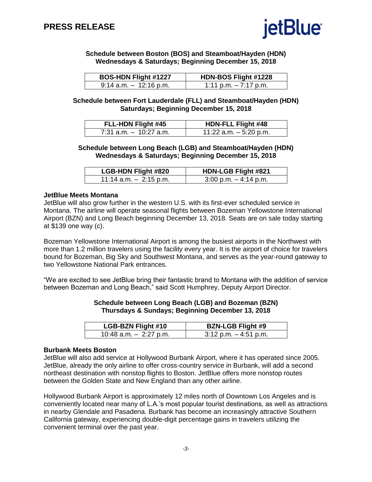

**Schedule between Boston (BOS) and Steamboat/Hayden (HDN) Wednesdays & Saturdays; Beginning December 15, 2018**

| <b>BOS-HDN Flight #1227</b> | HDN-BOS Flight #1228   |
|-----------------------------|------------------------|
| $9:14$ a.m. $-12:16$ p.m.   | 1:11 p.m. $-7:17$ p.m. |

**Schedule between Fort Lauderdale (FLL) and Steamboat/Hayden (HDN) Saturdays; Beginning December 15, 2018**

| <b>FLL-HDN Flight #45</b> | <b>HDN-FLL Flight #48</b> |
|---------------------------|---------------------------|
| $7:31$ a.m. $-10:27$ a.m. | 11:22 $a.m. - 5:20$ p.m.  |

**Schedule between Long Beach (LGB) and Steamboat/Hayden (HDN) Wednesdays & Saturdays; Beginning December 15, 2018**

| <b>LGB-HDN Flight #820</b> | <b>HDN-LGB Flight #821</b> |
|----------------------------|----------------------------|
| 11:14 a.m. $-2:15$ p.m.    | $3:00$ p.m. $-4:14$ p.m.   |

#### **JetBlue Meets Montana**

JetBlue will also grow further in the western U.S. with its first-ever scheduled service in Montana. The airline will operate seasonal flights between Bozeman Yellowstone International Airport (BZN) and Long Beach beginning December 13, 2018. Seats are on sale today starting at \$139 one way (c).

Bozeman Yellowstone International Airport is among the busiest airports in the Northwest with more than 1.2 million travelers using the facility every year. It is the airport of choice for travelers bound for Bozeman, Big Sky and Southwest Montana, and serves as the year-round gateway to two Yellowstone National Park entrances.

"We are excited to see JetBlue bring their fantastic brand to Montana with the addition of service between Bozeman and Long Beach," said Scott Humphrey, Deputy Airport Director.

#### **Schedule between Long Beach (LGB) and Bozeman (BZN) Thursdays & Sundays; Beginning December 13, 2018**

| <b>LGB-BZN Flight #10</b> | <b>BZN-LGB Flight #9</b> |
|---------------------------|--------------------------|
| 10:48 a.m. $-$ 2:27 p.m.  | $3:12$ p.m. $-4:51$ p.m. |

#### **Burbank Meets Boston**

JetBlue will also add service at Hollywood Burbank Airport, where it has operated since 2005. JetBlue, already the only airline to offer cross-country service in Burbank, will add a second northeast destination with nonstop flights to Boston. JetBlue offers more nonstop routes between the Golden State and New England than any other airline.

Hollywood Burbank Airport is approximately 12 miles north of Downtown Los Angeles and is conveniently located near many of L.A.'s most popular tourist destinations, as well as attractions in nearby Glendale and Pasadena. Burbank has become an increasingly attractive Southern California gateway, experiencing double-digit percentage gains in travelers utilizing the convenient terminal over the past year.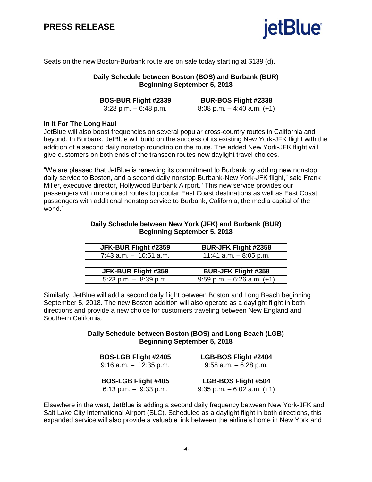

Seats on the new Boston-Burbank route are on sale today starting at \$139 (d).

#### **Daily Schedule between Boston (BOS) and Burbank (BUR) Beginning September 5, 2018**

| <b>BOS-BUR Flight #2339</b> | <b>BUR-BOS Flight #2338</b>     |
|-----------------------------|---------------------------------|
| $3:28$ p.m. $-6:48$ p.m.    | $8:08$ p.m. $-4:40$ a.m. $(+1)$ |

#### **In It For The Long Haul**

JetBlue will also boost frequencies on several popular cross-country routes in California and beyond. In Burbank, JetBlue will build on the success of its existing New York-JFK flight with the addition of a second daily nonstop roundtrip on the route. The added New York-JFK flight will give customers on both ends of the transcon routes new daylight travel choices.

"We are pleased that JetBlue is renewing its commitment to Burbank by adding new nonstop daily service to Boston, and a second daily nonstop Burbank-New York-JFK flight," said Frank Miller, executive director, Hollywood Burbank Airport. "This new service provides our passengers with more direct routes to popular East Coast destinations as well as East Coast passengers with additional nonstop service to Burbank, California, the media capital of the world."

#### **Daily Schedule between New York (JFK) and Burbank (BUR) Beginning September 5, 2018**

| JFK-BUR Flight #2359      | <b>BUR-JFK Flight #2358</b>     |
|---------------------------|---------------------------------|
| $7:43$ a.m. $-10:51$ a.m. | 11:41 a.m. $-8:05$ p.m.         |
|                           |                                 |
| JFK-BUR Flight #359       | <b>BUR-JFK Flight #358</b>      |
| 5:23 p.m. $-8:39$ p.m.    | $9:59$ p.m. $-6:26$ a.m. $(+1)$ |

Similarly, JetBlue will add a second daily flight between Boston and Long Beach beginning September 5, 2018. The new Boston addition will also operate as a daylight flight in both directions and provide a new choice for customers traveling between New England and Southern California.

#### **Daily Schedule between Boston (BOS) and Long Beach (LGB) Beginning September 5, 2018**

| <b>BOS-LGB Flight #2405</b> | LGB-BOS Flight #2404            |
|-----------------------------|---------------------------------|
| $9:16$ a.m. $-12:35$ p.m.   | $9:58$ a.m. $-6:28$ p.m.        |
|                             |                                 |
| <b>BOS-LGB Flight #405</b>  | <b>LGB-BOS Flight #504</b>      |
| 6:13 p.m. $-9:33$ p.m.      | $9:35$ p.m. $-6:02$ a.m. $(+1)$ |

Elsewhere in the west, JetBlue is adding a second daily frequency between New York-JFK and Salt Lake City International Airport (SLC). Scheduled as a daylight flight in both directions, this expanded service will also provide a valuable link between the airline's home in New York and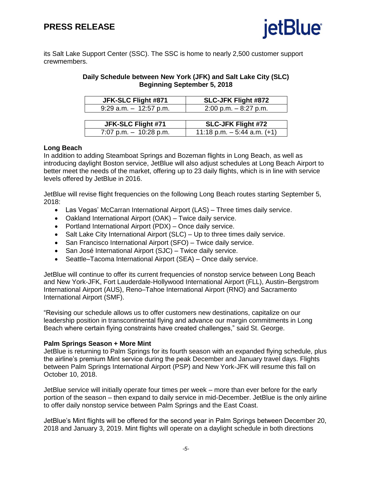

its Salt Lake Support Center (SSC). The SSC is home to nearly 2,500 customer support crewmembers.

#### **Daily Schedule between New York (JFK) and Salt Lake City (SLC) Beginning September 5, 2018**

| JFK-SLC Flight #871       | <b>SLC-JFK Flight #872</b> |
|---------------------------|----------------------------|
| $9:29$ a.m. $-12:57$ p.m. | $2:00$ p.m. $-8:27$ p.m.   |
|                           |                            |
| JFK-SLC Flight #71        | <b>SLC-JFK Flight #72</b>  |

7:07 p.m.  $-10:28$  p.m.  $\vert$  11:18 p.m.  $-5:44$  a.m. (+1)

#### **Long Beach**

In addition to adding Steamboat Springs and Bozeman flights in Long Beach, as well as introducing daylight Boston service, JetBlue will also adjust schedules at Long Beach Airport to better meet the needs of the market, offering up to 23 daily flights, which is in line with service levels offered by JetBlue in 2016.

JetBlue will revise flight frequencies on the following Long Beach routes starting September 5, 2018:

- Las Vegas' McCarran International Airport (LAS) Three times daily service.
- Oakland International Airport (OAK) Twice daily service.
- Portland International Airport (PDX) Once daily service.
- Salt Lake City International Airport (SLC) Up to three times daily service.
- San Francisco International Airport (SFO) Twice daily service.
- San José International Airport (SJC) Twice daily service.
- Seattle–Tacoma International Airport (SEA) Once daily service.

JetBlue will continue to offer its current frequencies of nonstop service between Long Beach and New York-JFK, Fort Lauderdale-Hollywood International Airport (FLL), Austin–Bergstrom International Airport (AUS), Reno–Tahoe International Airport (RNO) and Sacramento International Airport (SMF).

"Revising our schedule allows us to offer customers new destinations, capitalize on our leadership position in transcontinental flying and advance our margin commitments in Long Beach where certain flying constraints have created challenges," said St. George.

#### **Palm Springs Season + More Mint**

JetBlue is returning to Palm Springs for its fourth season with an expanded flying schedule, plus the airline's premium Mint service during the peak December and January travel days. Flights between Palm Springs International Airport (PSP) and New York-JFK will resume this fall on October 10, 2018.

JetBlue service will initially operate four times per week – more than ever before for the early portion of the season – then expand to daily service in mid-December. JetBlue is the only airline to offer daily nonstop service between Palm Springs and the East Coast.

JetBlue's Mint flights will be offered for the second year in Palm Springs between December 20, 2018 and January 3, 2019. Mint flights will operate on a daylight schedule in both directions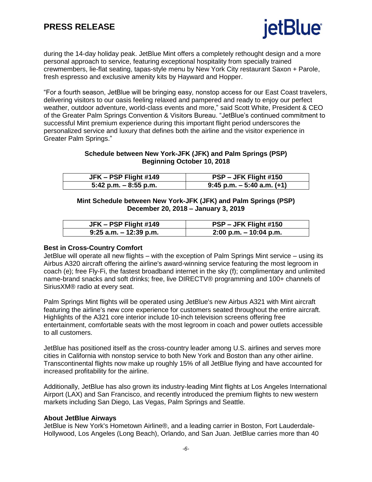

during the 14-day holiday peak. JetBlue Mint offers a completely rethought design and a more personal approach to service, featuring exceptional hospitality from specially trained crewmembers, lie-flat seating, tapas-style menu by New York City restaurant Saxon + Parole, fresh espresso and exclusive amenity kits by Hayward and Hopper.

"For a fourth season, JetBlue will be bringing easy, nonstop access for our East Coast travelers, delivering visitors to our oasis feeling relaxed and pampered and ready to enjoy our perfect weather, outdoor adventure, world-class events and more," said Scott White, President & CEO of the Greater Palm Springs Convention & Visitors Bureau. "JetBlue's continued commitment to successful Mint premium experience during this important flight period underscores the personalized service and luxury that defines both the airline and the visitor experience in Greater Palm Springs."

#### **Schedule between New York-JFK (JFK) and Palm Springs (PSP) Beginning October 10, 2018**

| JFK – PSP Flight #149    | PSP – JFK Flight #150         |
|--------------------------|-------------------------------|
| $5:42$ p.m. $-8:55$ p.m. | $9:45$ p.m. $-5:40$ a.m. (+1) |

#### **Mint Schedule between New York-JFK (JFK) and Palm Springs (PSP) December 20, 2018 – January 3, 2019**

| JFK - PSP Flight #149     | PSP – JFK Flight #150     |
|---------------------------|---------------------------|
| $9:25$ a.m. $-12:39$ p.m. | $2:00$ p.m. $-10:04$ p.m. |

#### **Best in Cross-Country Comfort**

JetBlue will operate all new flights – with the exception of Palm Springs Mint service – using its Airbus A320 aircraft offering the airline's award-winning service featuring the most legroom in coach (e); free Fly-Fi, the fastest broadband internet in the sky (f); complimentary and unlimited name-brand snacks and soft drinks; free, live DIRECTV® programming and 100+ channels of SiriusXM® radio at every seat.

Palm Springs Mint flights will be operated using JetBlue's new Airbus A321 with Mint aircraft featuring the airline's new core experience for customers seated throughout the entire aircraft. Highlights of the A321 core interior include 10-inch television screens offering free entertainment, comfortable seats with the most legroom in coach and power outlets accessible to all customers.

JetBlue has positioned itself as the cross-country leader among U.S. airlines and serves more cities in California with nonstop service to both New York and Boston than any other airline. Transcontinental flights now make up roughly 15% of all JetBlue flying and have accounted for increased profitability for the airline.

Additionally, JetBlue has also grown its industry-leading Mint flights at Los Angeles International Airport (LAX) and San Francisco, and recently introduced the premium flights to new western markets including San Diego, Las Vegas, Palm Springs and Seattle.

#### **About JetBlue Airways**

JetBlue is New York's Hometown Airline®, and a leading carrier in Boston, Fort Lauderdale-Hollywood, Los Angeles (Long Beach), Orlando, and San Juan. JetBlue carries more than 40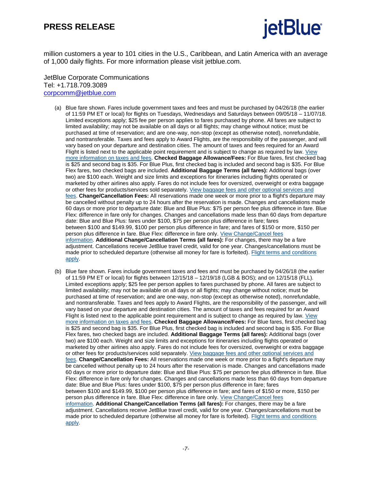## **PRESS RELEASE**



million customers a year to 101 cities in the U.S., Caribbean, and Latin America with an average of 1,000 daily flights. For more information please visit jetblue.com.

#### JetBlue Corporate Communications Tel: +1.718.709.3089 [corpcomm@jetblue.com](mailto:corpcomm@jetblue.com)

- (a) Blue fare shown. Fares include government taxes and fees and must be purchased by 04/26/18 (the earlier of 11:59 PM ET or local) for flights on Tuesdays, Wednesdays and Saturdays between 09/05/18 – 11/07/18. Limited exceptions apply; \$25 fee per person applies to fares purchased by phone. All fares are subject to limited availability; may not be available on all days or all flights; may change without notice; must be purchased at time of reservation; and are one-way, non-stop (except as otherwise noted), nonrefundable, and nontransferable. Taxes and fees apply to Award Flights, are the responsibility of the passenger, and will vary based on your departure and destination cities. The amount of taxes and fees required for an Award Flight is listed next to the applicable point requirement and is subject to change as required by law. [View](http://cts.businesswire.com/ct/CT?id=smartlink&url=http%3A%2F%2Fwww.jetblue.com%2Flegal%2Ftaxes%2F&esheet=51672137&newsitemid=20170822005457&lan=en-US&anchor=View+more+information+on+taxes+and+fees&index=2&md5=0b2163a4a2c11f254430526454fa0caa) more [information](http://cts.businesswire.com/ct/CT?id=smartlink&url=http%3A%2F%2Fwww.jetblue.com%2Flegal%2Ftaxes%2F&esheet=51672137&newsitemid=20170822005457&lan=en-US&anchor=View+more+information+on+taxes+and+fees&index=2&md5=0b2163a4a2c11f254430526454fa0caa) on taxes and fees. **Checked Baggage Allowance/Fees:** For Blue fares, first checked bag is \$25 and second bag is \$35. For Blue Plus, first checked bag is included and second bag is \$35. For Blue Flex fares, two checked bags are included. **Additional Baggage Terms (all fares):** Additional bags (over two) are \$100 each. Weight and size limits and exceptions for itineraries including flights operated or marketed by other airlines also apply. Fares do not include fees for oversized, overweight or extra baggage or other fees for products/services sold separately. View [baggage](http://cts.businesswire.com/ct/CT?id=smartlink&url=http%3A%2F%2Fwww.jetblue.com%2Ftravel%2Fbaggage%2F&esheet=51672137&newsitemid=20170822005457&lan=en-US&anchor=View+baggage+fees+and+other+optional+services+and+fees&index=3&md5=d1ea3c61c0eb2cc1db38a1a69363cd4f) fees and other optional services and [fees.](http://cts.businesswire.com/ct/CT?id=smartlink&url=http%3A%2F%2Fwww.jetblue.com%2Ftravel%2Fbaggage%2F&esheet=51672137&newsitemid=20170822005457&lan=en-US&anchor=View+baggage+fees+and+other+optional+services+and+fees&index=3&md5=d1ea3c61c0eb2cc1db38a1a69363cd4f) **Change/Cancellation Fees:** All reservations made one week or more prior to a flight's departure may be cancelled without penalty up to 24 hours after the reservation is made. Changes and cancellations made 60 days or more prior to departure date: Blue and Blue Plus: \$75 per person fee plus difference in fare. Blue Flex: difference in fare only for changes. Changes and cancellations made less than 60 days from departure date: Blue and Blue Plus: fares under \$100, \$75 per person plus difference in fare; fares between \$100 and \$149.99, \$100 per person plus difference in fare; and fares of \$150 or more, \$150 per person plus difference in fare. Blue Flex: difference in fare only. View [Change/Cancel](http://cts.businesswire.com/ct/CT?id=smartlink&url=http%3A%2F%2Fhelp.jetblue.com%2FSRVS%2FCGI-BIN%2Fwebisapi.dll%3FNew%2CKb%3DaskBlue%2Ccase%3Dobj%28383871%29&esheet=51672137&newsitemid=20170822005457&lan=en-US&anchor=View+Change%2FCancel+fees+information&index=4&md5=5d9d428d874c88dd32be90c24832f46e) fees [information.](http://cts.businesswire.com/ct/CT?id=smartlink&url=http%3A%2F%2Fhelp.jetblue.com%2FSRVS%2FCGI-BIN%2Fwebisapi.dll%3FNew%2CKb%3DaskBlue%2Ccase%3Dobj%28383871%29&esheet=51672137&newsitemid=20170822005457&lan=en-US&anchor=View+Change%2FCancel+fees+information&index=4&md5=5d9d428d874c88dd32be90c24832f46e) **Additional Change/Cancellation Terms (all fares):** For changes, there may be a fare adjustment. Cancellations receive JetBlue travel credit, valid for one year. Changes/cancellations must be made prior to scheduled departure (otherwise all money for fare is forfeited). Flight terms and [conditions](http://cts.businesswire.com/ct/CT?id=smartlink&url=http%3A%2F%2Fwww.jetblue.com%2Flegal%2Fflights-terms%2F&esheet=51672137&newsitemid=20170822005457&lan=en-US&anchor=Flight+terms+and+conditions+apply&index=5&md5=4dba99055d26b5cbb94fd07ac084825f) [apply.](http://cts.businesswire.com/ct/CT?id=smartlink&url=http%3A%2F%2Fwww.jetblue.com%2Flegal%2Fflights-terms%2F&esheet=51672137&newsitemid=20170822005457&lan=en-US&anchor=Flight+terms+and+conditions+apply&index=5&md5=4dba99055d26b5cbb94fd07ac084825f)
- (b) Blue fare shown. Fares include government taxes and fees and must be purchased by 04/26/18 (the earlier of 11:59 PM ET or local) for flights between 12/15/18 – 12/19/18 (LGB & BOS); and on 12/15/18 (FLL). Limited exceptions apply; \$25 fee per person applies to fares purchased by phone. All fares are subject to limited availability; may not be available on all days or all flights; may change without notice; must be purchased at time of reservation; and are one-way, non-stop (except as otherwise noted), nonrefundable, and nontransferable. Taxes and fees apply to Award Flights, are the responsibility of the passenger, and will vary based on your departure and destination cities. The amount of taxes and fees required for an Award Flight is listed next to the applicable point requirement and is subject to change as required by law. [View](http://cts.businesswire.com/ct/CT?id=smartlink&url=http%3A%2F%2Fwww.jetblue.com%2Flegal%2Ftaxes%2F&esheet=51672137&newsitemid=20170822005457&lan=en-US&anchor=View+more+information+on+taxes+and+fees&index=2&md5=0b2163a4a2c11f254430526454fa0caa) more [information](http://cts.businesswire.com/ct/CT?id=smartlink&url=http%3A%2F%2Fwww.jetblue.com%2Flegal%2Ftaxes%2F&esheet=51672137&newsitemid=20170822005457&lan=en-US&anchor=View+more+information+on+taxes+and+fees&index=2&md5=0b2163a4a2c11f254430526454fa0caa) on taxes and fees. **Checked Baggage Allowance/Fees:** For Blue fares, first checked bag is \$25 and second bag is \$35. For Blue Plus, first checked bag is included and second bag is \$35. For Blue Flex fares, two checked bags are included. **Additional Baggage Terms (all fares):** Additional bags (over two) are \$100 each. Weight and size limits and exceptions for itineraries including flights operated or marketed by other airlines also apply. Fares do not include fees for oversized, overweight or extra baggage or other fees for products/services sold separately. View [baggage](http://cts.businesswire.com/ct/CT?id=smartlink&url=http%3A%2F%2Fwww.jetblue.com%2Ftravel%2Fbaggage%2F&esheet=51672137&newsitemid=20170822005457&lan=en-US&anchor=View+baggage+fees+and+other+optional+services+and+fees&index=3&md5=d1ea3c61c0eb2cc1db38a1a69363cd4f) fees and other optional services and [fees.](http://cts.businesswire.com/ct/CT?id=smartlink&url=http%3A%2F%2Fwww.jetblue.com%2Ftravel%2Fbaggage%2F&esheet=51672137&newsitemid=20170822005457&lan=en-US&anchor=View+baggage+fees+and+other+optional+services+and+fees&index=3&md5=d1ea3c61c0eb2cc1db38a1a69363cd4f) **Change/Cancellation Fees:** All reservations made one week or more prior to a flight's departure may be cancelled without penalty up to 24 hours after the reservation is made. Changes and cancellations made 60 days or more prior to departure date: Blue and Blue Plus: \$75 per person fee plus difference in fare. Blue Flex: difference in fare only for changes. Changes and cancellations made less than 60 days from departure date: Blue and Blue Plus: fares under \$100, \$75 per person plus difference in fare; fares between \$100 and \$149.99, \$100 per person plus difference in fare; and fares of \$150 or more, \$150 per person plus difference in fare. Blue Flex: difference in fare only. View [Change/Cancel](http://cts.businesswire.com/ct/CT?id=smartlink&url=http%3A%2F%2Fhelp.jetblue.com%2FSRVS%2FCGI-BIN%2Fwebisapi.dll%3FNew%2CKb%3DaskBlue%2Ccase%3Dobj%28383871%29&esheet=51672137&newsitemid=20170822005457&lan=en-US&anchor=View+Change%2FCancel+fees+information&index=4&md5=5d9d428d874c88dd32be90c24832f46e) fees [information.](http://cts.businesswire.com/ct/CT?id=smartlink&url=http%3A%2F%2Fhelp.jetblue.com%2FSRVS%2FCGI-BIN%2Fwebisapi.dll%3FNew%2CKb%3DaskBlue%2Ccase%3Dobj%28383871%29&esheet=51672137&newsitemid=20170822005457&lan=en-US&anchor=View+Change%2FCancel+fees+information&index=4&md5=5d9d428d874c88dd32be90c24832f46e) **Additional Change/Cancellation Terms (all fares):** For changes, there may be a fare adjustment. Cancellations receive JetBlue travel credit, valid for one year. Changes/cancellations must be made prior to scheduled departure (otherwise all money for fare is forfeited). Flight terms and [conditions](http://cts.businesswire.com/ct/CT?id=smartlink&url=http%3A%2F%2Fwww.jetblue.com%2Flegal%2Fflights-terms%2F&esheet=51672137&newsitemid=20170822005457&lan=en-US&anchor=Flight+terms+and+conditions+apply&index=5&md5=4dba99055d26b5cbb94fd07ac084825f) [apply.](http://cts.businesswire.com/ct/CT?id=smartlink&url=http%3A%2F%2Fwww.jetblue.com%2Flegal%2Fflights-terms%2F&esheet=51672137&newsitemid=20170822005457&lan=en-US&anchor=Flight+terms+and+conditions+apply&index=5&md5=4dba99055d26b5cbb94fd07ac084825f)